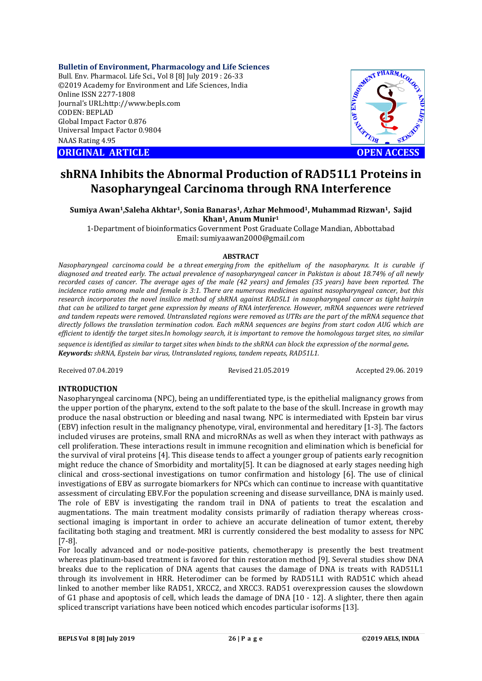**Bulletin of Environment, Pharmacology and Life Sciences**

Bull. Env. Pharmacol. Life Sci., Vol 8 [8] July 2019 : 26-33 ©2019 Academy for Environment and Life Sciences, India Online ISSN 2277-1808 Journal's URL:http://www.bepls.com CODEN: BEPLAD Global Impact Factor 0.876 Universal Impact Factor 0.9804 NAAS Rating 4.95

**ORIGINAL ARTICLE OPEN ACCESS** 



# **shRNA Inhibits the Abnormal Production of RAD51L1 Proteins in Nasopharyngeal Carcinoma through RNA Interference**

**Sumiya Awan1,Saleha Akhtar1, Sonia Banaras1, Azhar Mehmood1, Muhammad Rizwan1, Sajid Khan1, Anum Munir1**

1-Department of bioinformatics Government Post Graduate Collage Mandian, Abbottabad Email: sumiyaawan2000@gmail.com

#### **ABSTRACT**

*Nasopharyngeal carcinoma could be a threat emerging from the epithelium of the nasopharynx. It is curable if diagnosed and treated early. The actual prevalence of nasopharyngeal cancer in Pakistan is about 18.74% of all newly recorded cases of cancer. The average ages of the male (42 years) and females (35 years) have been reported. The incidence ratio among male and female is 3:1. There are numerous medicines against nasopharyngeal cancer, but this research incorporates the novel insilico method of shRNA against RAD5L1 in nasopharyngeal cancer as tight hairpin that can be utilized to target gene expression by means of RNA interference. However, mRNA sequences were retrieved and tandem repeats were removed. Untranslated regions were removed as UTRs are the part of the mRNA sequence that directly follows the translation termination codon. Each mRNA sequences are begins from start codon AUG which are efficient to identify the target sites.In homology search, it is important to remove the homologous target sites, no similar sequence is identified as similar to target sites when binds to the shRNA can block the expression of the normal gene. Keywords: shRNA, Epstein bar virus, Untranslated regions, tandem repeats, RAD51L1.*

Received 07.04.2019 Revised 21.05.2019 Accepted 29.06. 2019

## **INTRODUCTION**

Nasopharyngeal carcinoma (NPC), being an undifferentiated type, is the epithelial malignancy grows from the upper portion of the pharynx, extend to the soft palate to the base of the skull. Increase in growth may produce the nasal obstruction or bleeding and nasal twang. NPC is intermediated with Epstein bar virus (EBV) infection result in the malignancy phenotype, viral, environmental and hereditary [1-3]. The factors included viruses are proteins, small RNA and microRNAs as well as when they interact with pathways as cell proliferation. These interactions result in immune recognition and elimination which is beneficial for the survival of viral proteins [4]. This disease tends to affect a younger group of patients early recognition might reduce the chance of Smorbidity and mortality[5]. It can be diagnosed at early stages needing high clinical and cross-sectional investigations on tumor confirmation and histology [6]. The use of clinical investigations of EBV as surrogate biomarkers for NPCs which can continue to increase with quantitative assessment of circulating EBV.For the population screening and disease surveillance, DNA is mainly used. The role of EBV is investigating the random trail in DNA of patients to treat the escalation and augmentations. The main treatment modality consists primarily of radiation therapy whereas crosssectional imaging is important in order to achieve an accurate delineation of tumor extent, thereby facilitating both staging and treatment. MRI is currently considered the best modality to assess for NPC [7-8].

For locally advanced and or node-positive patients, chemotherapy is presently the best treatment whereas platinum-based treatment is favored for thin restoration method [9]. Several studies show DNA breaks due to the replication of DNA agents that causes the damage of DNA is treats with RAD51L1 through its involvement in HRR. Heterodimer can be formed by RAD51L1 with RAD51C which ahead linked to another member like RAD51, XRCC2, and XRCC3. RAD51 overexpression causes the slowdown of G1 phase and apoptosis of cell, which leads the damage of DNA [10 - 12]. A slighter, there then again spliced transcript variations have been noticed which encodes particular isoforms [13].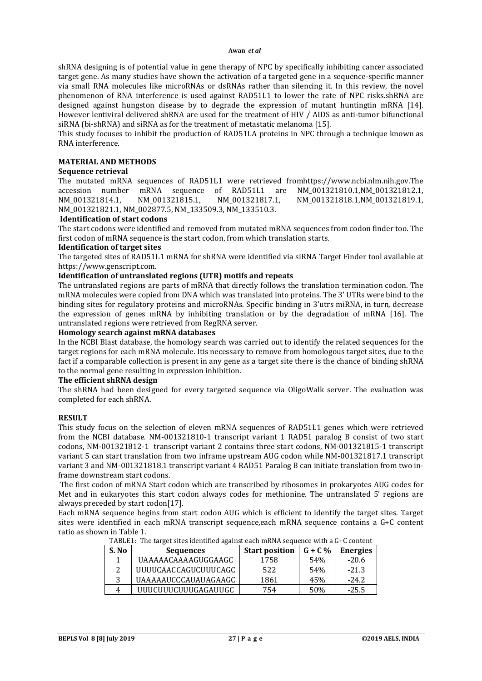#### **Awan** *et al*

shRNA designing is of potential value in gene therapy of NPC by specifically inhibiting cancer associated target gene. As many studies have shown the activation of a targeted gene in a sequence-specific manner via small RNA molecules like microRNAs or dsRNAs rather than silencing it. In this review, the novel phenomenon of RNA interference is used against RAD51L1 to lower the rate of NPC risks.shRNA are designed against hungston disease by to degrade the expression of mutant huntingtin mRNA [14]. However lentiviral delivered shRNA are used for the treatment of HIV / AIDS as anti-tumor bifunctional siRNA (bi-shRNA) and siRNA as for the treatment of metastatic melanoma [15].

This study focuses to inhibit the production of RAD51LA proteins in NPC through a technique known as RNA interference.

#### **MATERIAL AND METHODS**

## **Sequence retrieval**

The mutated mRNA sequences of RAD51L1 were retrieved fromhttps://www.ncbi.nlm.nih.gov.The accession number mRNA sequence of RAD51L1 are NM\_001321810.1,NM\_001321812.1, NM\_001321814.1, NM\_001321815.1, NM\_001321817.1, NM\_001321818.1,NM\_001321819.1, NM\_001321821.1, NM\_002877.5, NM\_133509.3, NM\_133510.3.

#### **Identification of start codons**

The start codons were identified and removed from mutated mRNA sequences from codon finder too. The first codon of mRNA sequence is the start codon, from which translation starts.

#### **Identification of target sites**

The targeted sites of RAD51L1 mRNA for shRNA were identified via siRNA Target Finder tool available at https://www.genscript.com.

#### **Identification of untranslated regions (UTR) motifs and repeats**

The untranslated regions are parts of mRNA that directly follows the translation termination codon. The mRNA molecules were copied from DNA which was translated into proteins. The 3' UTRs were bind to the binding sites for regulatory proteins and microRNAs. Specific binding in 3'utrs miRNA, in turn, decrease the expression of genes mRNA by inhibiting translation or by the degradation of mRNA [16]. The untranslated regions were retrieved from RegRNA server.

## **Homology search against mRNA databases**

In the NCBI Blast database, the homology search was carried out to identify the related sequences for the target regions for each mRNA molecule. Itis necessary to remove from homologous target sites, due to the fact if a comparable collection is present in any gene as a target site there is the chance of binding shRNA to the normal gene resulting in expression inhibition.

#### **The efficient shRNA design**

The shRNA had been designed for every targeted sequence via OligoWalk server. The evaluation was completed for each shRNA.

#### **RESULT**

This study focus on the selection of eleven mRNA sequences of RAD51L1 genes which were retrieved from the NCBI database. NM-001321810-1 transcript variant 1 RAD51 paralog B consist of two start codons, NM-001321812-1 transcript variant 2 contains three start codons, NM-001321815-1 transcript variant 5 can start translation from two inframe upstream AUG codon while NM-001321817.1 transcript variant 3 and NM-001321818.1 transcript variant 4 RAD51 Paralog B can initiate translation from two inframe downstream start codons.

The first codon of mRNA Start codon which are transcribed by ribosomes in prokaryotes AUG codes for Met and in eukaryotes this start codon always codes for methionine. The untranslated 5' regions are always preceded by start codon[17].

Each mRNA sequence begins from start codon AUG which is efficient to identify the target sites. Target sites were identified in each mRNA transcript sequence,each mRNA sequence contains a G+C content ratio as shown in Table 1.

| S. No | <b>Sequences</b>     | <b>Start position</b> | $G + C$ % | <b>Energies</b> |
|-------|----------------------|-----------------------|-----------|-----------------|
|       | UAAAAACAAAAGUGGAAGC  | 1758                  | 54%       | $-20.6$         |
|       | UUUUCAACCAGUCUUUCAGC | 522                   | 54%       | $-21.3$         |
| 2     | UAAAAAUCCCAUAUAGAAGC | 1861                  | 45%       | $-24.2$         |
| 4     | UUUCUUUCUUUGAGAUUGC  | 754                   | 50%       | $-25.5$         |

TABLE1: The target sites identified against each mRNA sequence with a G+C content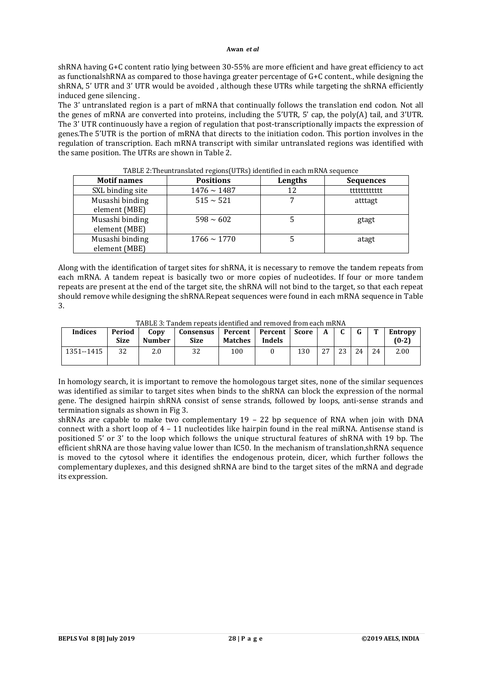#### **Awan** *et al*

shRNA having G+C content ratio lying between 30-55% are more efficient and have great efficiency to act as functionalshRNA as compared to those havinga greater percentage of G+C content., while designing the shRNA, 5' UTR and 3' UTR would be avoided , although these UTRs while targeting the shRNA efficiently induced gene silencing .

The 3' untranslated region is a part of mRNA that continually follows the translation end codon. Not all the genes of mRNA are converted into proteins, including the 5'UTR, 5' cap, the poly(A) tail, and 3'UTR. The 3' UTR continuously have a region of regulation that post-transcriptionally impacts the expression of genes.The 5'UTR is the portion of mRNA that directs to the initiation codon. This portion involves in the regulation of transcription. Each mRNA transcript with similar untranslated regions was identified with the same position. The UTRs are shown in Table 2.

| - - - - - - - 1 -                |                  |         |                  |  |  |  |  |
|----------------------------------|------------------|---------|------------------|--|--|--|--|
| <b>Motif names</b>               | <b>Positions</b> | Lengths | <b>Sequences</b> |  |  |  |  |
| SXL binding site                 | $1476 \sim 1487$ | 12      | ttttttttttt      |  |  |  |  |
| Musashi binding<br>element (MBE) | $515 \sim 521$   |         | atttagt          |  |  |  |  |
| Musashi binding<br>element (MBE) | $598 \sim 602$   |         | gtagt            |  |  |  |  |
| Musashi binding<br>element (MBE) | $1766 \sim 1770$ |         | atagt            |  |  |  |  |

TABLE 2:Theuntranslated regions(UTRs) identified in each mRNA sequence

Along with the identification of target sites for shRNA, it is necessary to remove the tandem repeats from each mRNA. A tandem repeat is basically two or more copies of nucleotides. If four or more tandem repeats are present at the end of the target site, the shRNA will not bind to the target, so that each repeat should remove while designing the shRNA.Repeat sequences were found in each mRNA sequence in Table 3.

TABLE 3: Tandem repeats identified and removed from each mRNA

| Indices    | Period<br><b>Size</b> | Copy<br><b>Number</b> | Consensus   Percent   Percent<br><b>Size</b> | Matches | Indels | Score | $\mathbf{A}$ | C. | $\sqrt{ }$ | m  | <b>Entropy</b><br>$(0-2)$ |
|------------|-----------------------|-----------------------|----------------------------------------------|---------|--------|-------|--------------|----|------------|----|---------------------------|
| 1351--1415 | 32                    | 2.0                   | 32                                           | 100     |        | 130   | 27           | 23 | 24         | 24 | 2.00                      |

In homology search, it is important to remove the homologous target sites, none of the similar sequences was identified as similar to target sites when binds to the shRNA can block the expression of the normal gene. The designed hairpin shRNA consist of sense strands, followed by loops, anti-sense strands and termination signals as shown in Fig 3.

shRNAs are capable to make two complementary  $19 - 22$  bp sequence of RNA when join with DNA connect with a short loop of 4 – 11 nucleotides like hairpin found in the real miRNA. Antisense stand is positioned 5' or 3' to the loop which follows the unique structural features of shRNA with 19 bp. The efficient shRNA are those having value lower than IC50. In the mechanism of translation,shRNA sequence is moved to the cytosol where it identifies the endogenous protein, dicer, which further follows the complementary duplexes, and this designed shRNA are bind to the target sites of the mRNA and degrade its expression.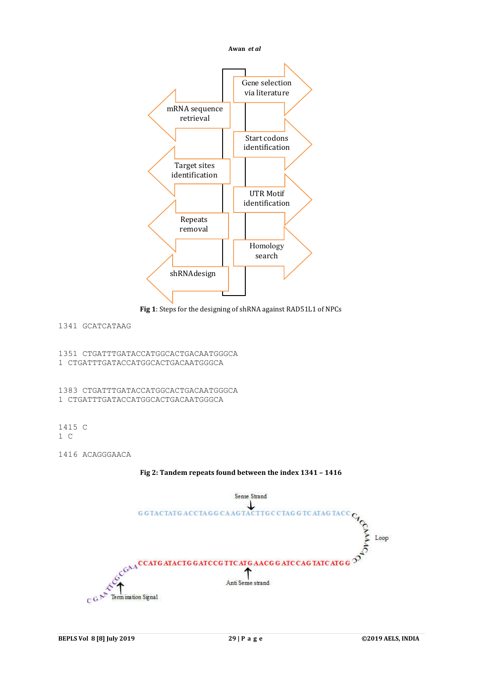



# 1341 GCATCATAAG

1351 CTGATTTGATACCATGGCACTGACAATGGGCA 1 CTGATTTGATACCATGGCACTGACAATGGGCA

1383 CTGATTTGATACCATGGCACTGACAATGGGCA 1 CTGATTTGATACCATGGCACTGACAATGGGCA

1415 C 1 C

1416 ACAGGGAACA



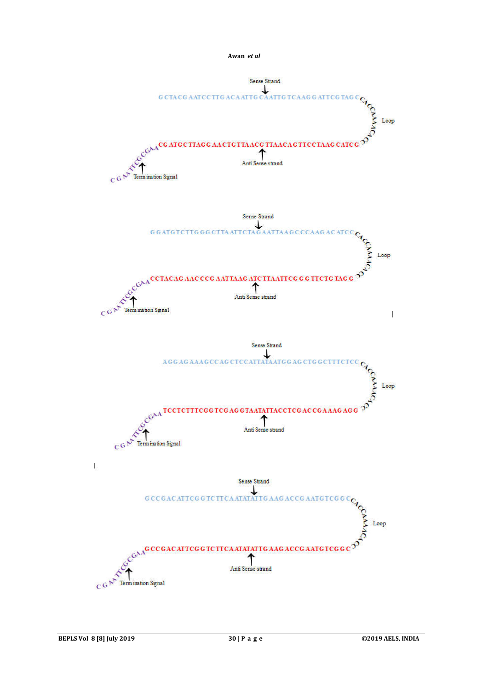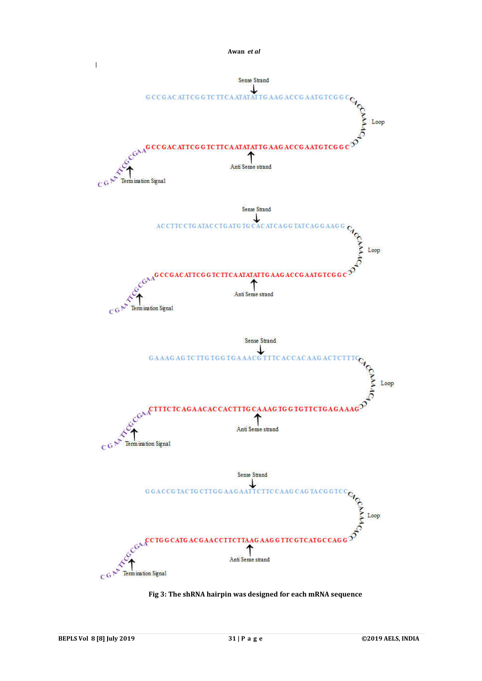

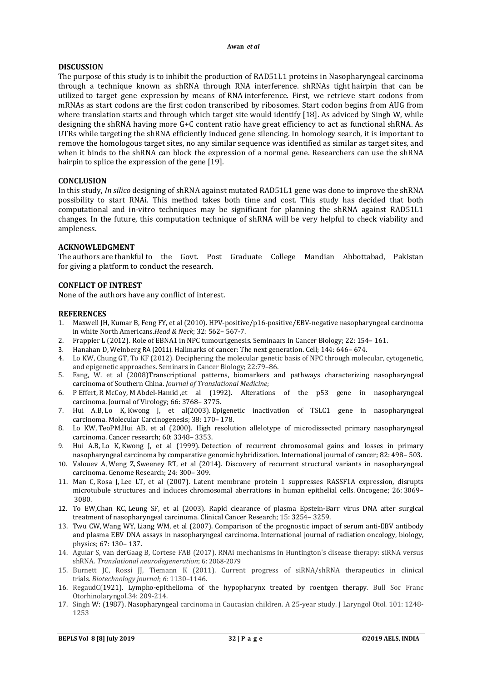## **DISCUSSION**

The purpose of this study is to inhibit the production of RAD51L1 proteins in Nasopharyngeal carcinoma through a technique known as shRNA through RNA interference. shRNAs tight hairpin that can be utilized to target gene expression by means of RNA interference. First, we retrieve start codons from mRNAs as start codons are the first codon transcribed by ribosomes. Start codon begins from AUG from where translation starts and through which target site would identify [18]. As adviced by Singh W, while designing the shRNA having more G+C content ratio have great efficiency to act as functional shRNA. As UTRs while targeting the shRNA efficiently induced gene silencing. In homology search, it is important to remove the homologous target sites, no any similar sequence was identified as similar as target sites, and when it binds to the shRNA can block the expression of a normal gene. Researchers can use the shRNA hairpin to splice the expression of the gene [19].

#### **CONCLUSION**

In this study, *In silico* designing of shRNA against mutated RAD51L1 gene was done to improve the shRNA possibility to start RNAi. This method takes both time and cost. This study has decided that both computational and in-vitro techniques may be significant for planning the shRNA against RAD51L1 changes. In the future, this computation technique of shRNA will be very helpful to check viability and ampleness.

#### **ACKNOWLEDGMENT**

The authors are thankful to the Govt. Post Graduate College Mandian Abbottabad, Pakistan for giving a platform to conduct the research.

#### **CONFLICT OF INTREST**

None of the authors have any conflict of interest.

#### **REFERENCES**

- 1. Maxwell JH, Kumar B, Feng FY, et al (2010). HPV-positive/p16-positive/EBV-negative nasopharyngeal carcinoma in white North Americans.*Head & Neck*; 32: 562– 567-7.
- 2. Frappier L (2012). Role of EBNA1 in NPC tumourigenesis. Seminaars in Cancer Biology; 22: 154– 161.
- 3. Hanahan D, Weinberg RA (2011). Hallmarks of cancer: The next generation. Cell; 144: 646– 674.
- 4. Lo KW, Chung GT, To KF (2012). Deciphering the molecular genetic basis of NPC through molecular, cytogenetic, and epigenetic approaches. Seminars in Cancer Biology; 22:79–86.
- 5. Fang, W. et al (2008)Transcriptional patterns, biomarkers and pathways characterizing nasopharyngeal carcinoma of Southern China. *Journal of Translational Medicine*;
- 6. P Effert, R McCoy, M Abdel-Hamid ,et al (1992). Alterations of the p53 gene in nasopharyngeal carcinoma. Journal of Virology; 66: 3768– 3775.
- 7. Hui A.B, Lo K, Kwong J, et al(2003). Epigenetic inactivation of TSLC1 gene in nasopharyngeal carcinoma. Molecular Carcinogenesis; 38: 170– 178.
- 8. Lo KW, TeoPM,Hui AB, et al (2000). High resolution allelotype of microdissected primary nasopharyngeal carcinoma. Cancer research; 60: 3348– 3353.
- 9. Hui A.B, Lo K, Kwong J, et al (1999). Detection of recurrent chromosomal gains and losses in primary nasopharyngeal carcinoma by comparative genomic hybridization. International journal of cancer; 82: 498– 503.
- 10. Valouev A, Weng Z, Sweeney RT, et al (2014). Discovery of recurrent structural variants in nasopharyngeal carcinoma. Genome Research; 24: 300– 309.
- 11. Man C, Rosa J, Lee LT, et al (2007). Latent membrane protein 1 suppresses RASSF1A expression, disrupts microtubule structures and induces chromosomal aberrations in human epithelial cells. Oncogene; 26: 3069– 3080.
- 12. To EW,Chan KC, Leung SF, et al (2003). Rapid clearance of plasma Epstein-Barr virus DNA after surgical treatment of nasopharyngeal carcinoma. Clinical Cancer Research; 15: 3254– 3259.
- 13. Twu CW, Wang WY, Liang WM, et al (2007). Comparison of the prognostic impact of serum anti-EBV antibody and plasma EBV DNA assays in nasopharyngeal carcinoma. International journal of radiation oncology, biology, physics; 67: 130– 137.
- 14. Aguiar S, van derGaag B, Cortese FAB (2017). RNAi mechanisms in Huntington's disease therapy: siRNA versus shRNA. *Translational neurodegeneration*; 6: 2068-2079
- 15. Burnett JC, Rossi JJ, Tiemann K (2011). Current progress of siRNA/shRNA therapeutics in clinical trials. *Biotechnology journal*; *6:* 1130–1146.
- 16. RegaudC(1921). Lympho-epithelioma of the hypopharynx treated by roentgen therapy. Bull Soc Franc Otorhinolaryngol.34: 209-214.
- 17. Singh W: (1987). Nasopharyngeal carcinoma in Caucasian children. A 25-year study. J Laryngol Otol. 101: 1248- 1253